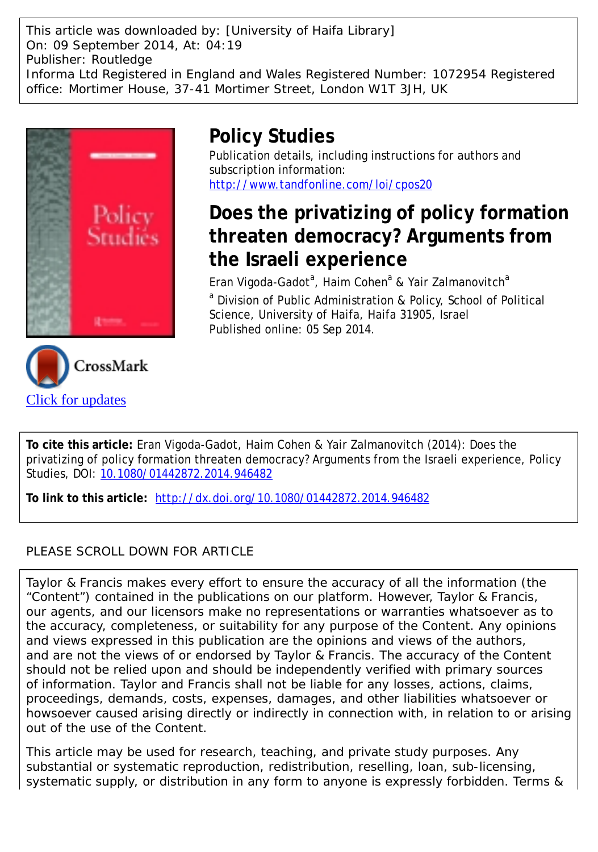This article was downloaded by: [University of Haifa Library] On: 09 September 2014, At: 04:19 Publisher: Routledge Informa Ltd Registered in England and Wales Registered Number: 1072954 Registered office: Mortimer House, 37-41 Mortimer Street, London W1T 3JH, UK





## **Policy Studies**

Publication details, including instructions for authors and subscription information: <http://www.tandfonline.com/loi/cpos20>

# **Does the privatizing of policy formation threaten democracy? Arguments from the Israeli experience**

Eran Vigoda-Gadot<sup>a</sup>, Haim Cohen<sup>a</sup> & Yair Zalmanovitch<sup>a</sup> <sup>a</sup> Division of Public Administration & Policy, School of Political Science, University of Haifa, Haifa 31905, Israel Published online: 05 Sep 2014.

**To cite this article:** Eran Vigoda-Gadot, Haim Cohen & Yair Zalmanovitch (2014): Does the privatizing of policy formation threaten democracy? Arguments from the Israeli experience, Policy Studies, DOI: [10.1080/01442872.2014.946482](http://www.tandfonline.com/action/showCitFormats?doi=10.1080/01442872.2014.946482)

**To link to this article:** <http://dx.doi.org/10.1080/01442872.2014.946482>

## PLEASE SCROLL DOWN FOR ARTICLE

Taylor & Francis makes every effort to ensure the accuracy of all the information (the "Content") contained in the publications on our platform. However, Taylor & Francis, our agents, and our licensors make no representations or warranties whatsoever as to the accuracy, completeness, or suitability for any purpose of the Content. Any opinions and views expressed in this publication are the opinions and views of the authors, and are not the views of or endorsed by Taylor & Francis. The accuracy of the Content should not be relied upon and should be independently verified with primary sources of information. Taylor and Francis shall not be liable for any losses, actions, claims, proceedings, demands, costs, expenses, damages, and other liabilities whatsoever or howsoever caused arising directly or indirectly in connection with, in relation to or arising out of the use of the Content.

This article may be used for research, teaching, and private study purposes. Any substantial or systematic reproduction, redistribution, reselling, loan, sub-licensing, systematic supply, or distribution in any form to anyone is expressly forbidden. Terms &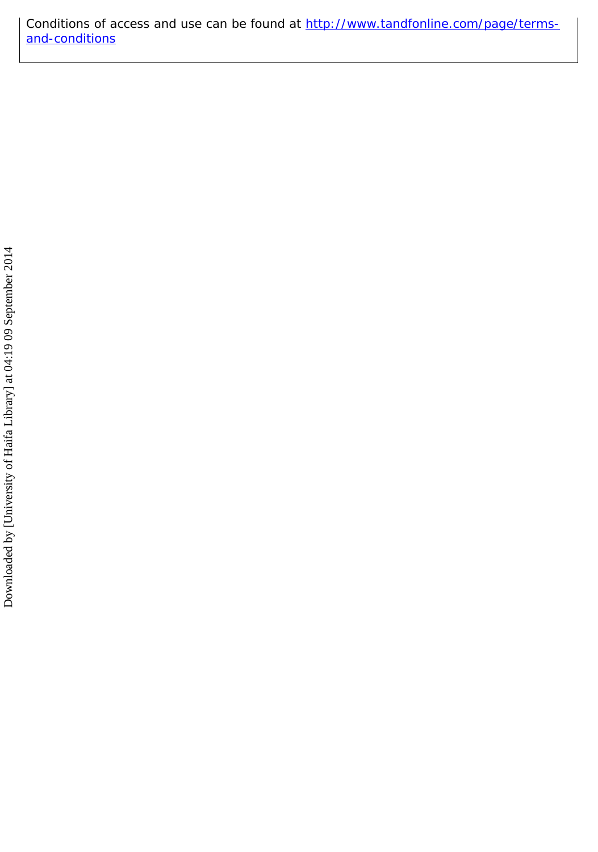Conditions of access and use can be found at [http://www.tandfonline.com/page/terms](http://www.tandfonline.com/page/terms-and-conditions)[and-conditions](http://www.tandfonline.com/page/terms-and-conditions)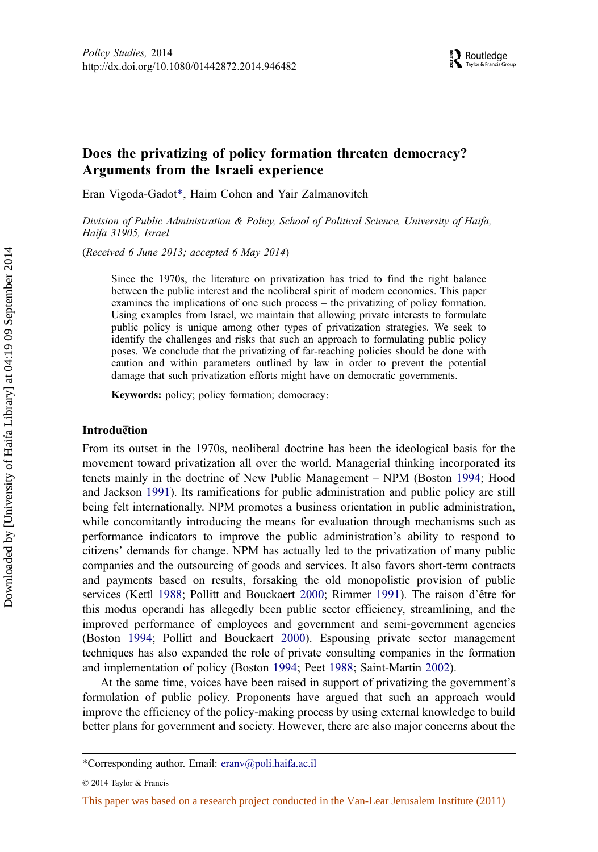### Does the privatizing of policy formation threaten democracy? Arguments from the Israeli experience

Eran Vigoda-Gadot\*, Haim Cohen and Yair Zalmanovitch

Division of Public Administration & Policy, School of Political Science, University of Haifa, Haifa 31905, Israel

(Received 6 June 2013; accepted 6 May 2014)

Since the 1970s, the literature on privatization has tried to find the right balance between the public interest and the neoliberal spirit of modern economies. This paper examines the implications of one such process – the privatizing of policy formation. Using examples from Israel, we maintain that allowing private interests to formulate public policy is unique among other types of privatization strategies. We seek to identify the challenges and risks that such an approach to formulating public policy poses. We conclude that the privatizing of far-reaching policies should be done with caution and within parameters outlined by law in order to prevent the potential damage that such privatization efforts might have on democratic governments.

Keywords: policy; policy formation; democracy :

#### **Introduction**

From its outset in the 1970s, neoliberal doctrine has been the ideological basis for the movement toward privatization all over the world. Managerial thinking incorporated its tenets mainly in the doctrine of New Public Management – NPM (Boston [1994;](#page-13-0) Hood and Jackson [1991](#page-14-0)). Its ramifications for public administration and public policy are still being felt internationally. NPM promotes a business orientation in public administration, while concomitantly introducing the means for evaluation through mechanisms such as performance indicators to improve the public administration's ability to respond to citizens' demands for change. NPM has actually led to the privatization of many public companies and the outsourcing of goods and services. It also favors short-term contracts and payments based on results, forsaking the old monopolistic provision of public services (Kettl [1988](#page-14-0); Pollitt and Bouckaert [2000](#page-14-0); Rimmer [1991](#page-15-0)). The raison d'être for this modus operandi has allegedly been public sector efficiency, streamlining, and the improved performance of employees and government and semi-government agencies (Boston [1994;](#page-13-0) Pollitt and Bouckaert [2000](#page-14-0)). Espousing private sector management techniques has also expanded the role of private consulting companies in the formation and implementation of policy (Boston [1994](#page-13-0); Peet [1988;](#page-14-0) Saint-Martin [2002](#page-15-0)).

At the same time, voices have been raised in support of privatizing the government's formulation of public policy. Proponents have argued that such an approach would improve the efficiency of the policy-making process by using external knowledge to build better plans for government and society. However, there are also major concerns about the

<sup>\*</sup>Corresponding author. Email: [eranv@poli.haifa.ac.il](mailto:eranv@poli.haifa.ac.il)

<sup>© 2014</sup> Taylor & Francis

This paper was based on a research project conducted in the Van-Lear Jerusalem Institute (2011)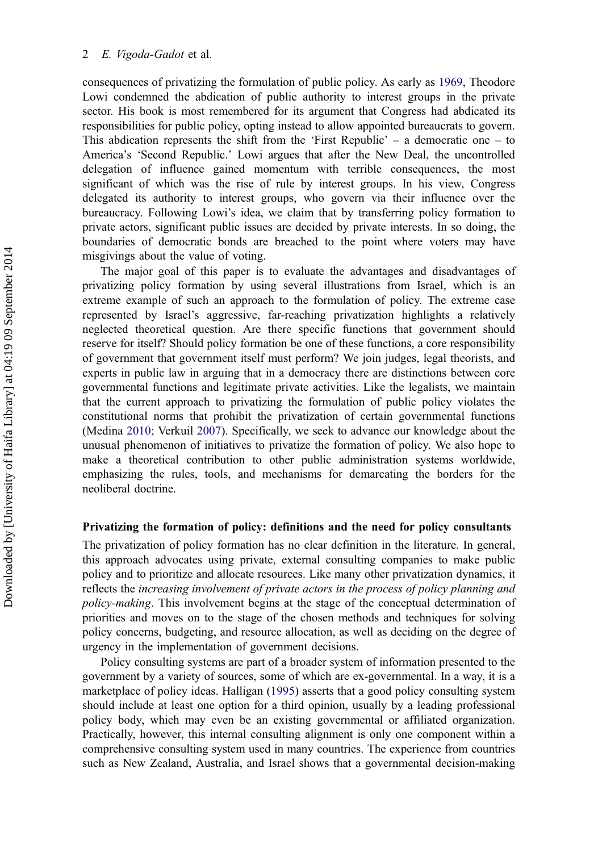consequences of privatizing the formulation of public policy. As early as [1969,](#page-14-0) Theodore Lowi condemned the abdication of public authority to interest groups in the private sector. His book is most remembered for its argument that Congress had abdicated its responsibilities for public policy, opting instead to allow appointed bureaucrats to govern. This abdication represents the shift from the 'First Republic'  $-$  a democratic one  $-$  to America's 'Second Republic.' Lowi argues that after the New Deal, the uncontrolled delegation of influence gained momentum with terrible consequences, the most significant of which was the rise of rule by interest groups. In his view, Congress delegated its authority to interest groups, who govern via their influence over the bureaucracy. Following Lowi's idea, we claim that by transferring policy formation to private actors, significant public issues are decided by private interests. In so doing, the boundaries of democratic bonds are breached to the point where voters may have misgivings about the value of voting.

The major goal of this paper is to evaluate the advantages and disadvantages of privatizing policy formation by using several illustrations from Israel, which is an extreme example of such an approach to the formulation of policy. The extreme case represented by Israel's aggressive, far-reaching privatization highlights a relatively neglected theoretical question. Are there specific functions that government should reserve for itself? Should policy formation be one of these functions, a core responsibility of government that government itself must perform? We join judges, legal theorists, and experts in public law in arguing that in a democracy there are distinctions between core governmental functions and legitimate private activities. Like the legalists, we maintain that the current approach to privatizing the formulation of public policy violates the constitutional norms that prohibit the privatization of certain governmental functions (Medina [2010;](#page-14-0) Verkuil [2007\)](#page-15-0). Specifically, we seek to advance our knowledge about the unusual phenomenon of initiatives to privatize the formation of policy. We also hope to make a theoretical contribution to other public administration systems worldwide, emphasizing the rules, tools, and mechanisms for demarcating the borders for the neoliberal doctrine.

#### Privatizing the formation of policy: definitions and the need for policy consultants

The privatization of policy formation has no clear definition in the literature. In general, this approach advocates using private, external consulting companies to make public policy and to prioritize and allocate resources. Like many other privatization dynamics, it reflects the increasing involvement of private actors in the process of policy planning and policy-making. This involvement begins at the stage of the conceptual determination of priorities and moves on to the stage of the chosen methods and techniques for solving policy concerns, budgeting, and resource allocation, as well as deciding on the degree of urgency in the implementation of government decisions.

Policy consulting systems are part of a broader system of information presented to the government by a variety of sources, some of which are ex-governmental. In a way, it is a marketplace of policy ideas. Halligan [\(1995](#page-14-0)) asserts that a good policy consulting system should include at least one option for a third opinion, usually by a leading professional policy body, which may even be an existing governmental or affiliated organization. Practically, however, this internal consulting alignment is only one component within a comprehensive consulting system used in many countries. The experience from countries such as New Zealand, Australia, and Israel shows that a governmental decision-making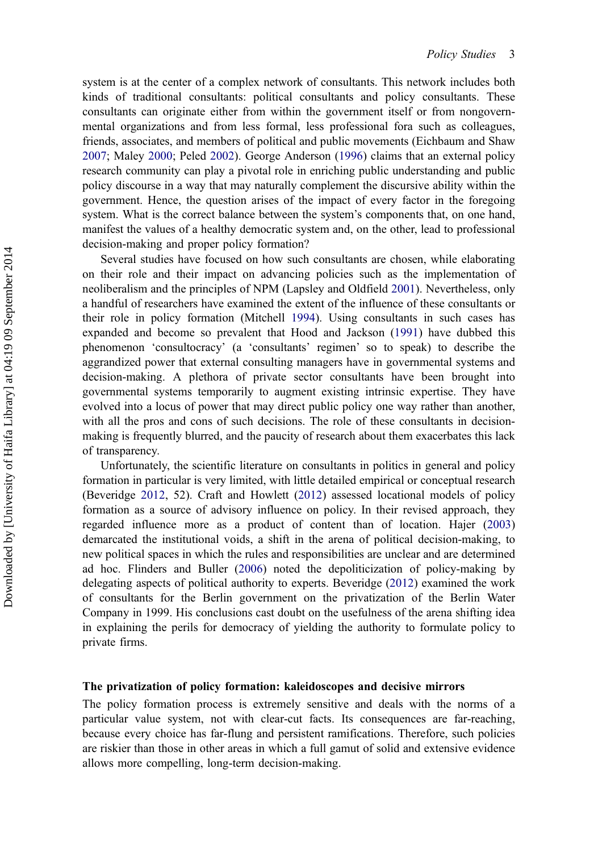system is at the center of a complex network of consultants. This network includes both kinds of traditional consultants: political consultants and policy consultants. These consultants can originate either from within the government itself or from nongovernmental organizations and from less formal, less professional fora such as colleagues, friends, associates, and members of political and public movements (Eichbaum and Shaw [2007;](#page-13-0) Maley [2000](#page-14-0); Peled [2002](#page-14-0)). George Anderson ([1996\)](#page-13-0) claims that an external policy research community can play a pivotal role in enriching public understanding and public policy discourse in a way that may naturally complement the discursive ability within the government. Hence, the question arises of the impact of every factor in the foregoing system. What is the correct balance between the system's components that, on one hand, manifest the values of a healthy democratic system and, on the other, lead to professional decision-making and proper policy formation?

Several studies have focused on how such consultants are chosen, while elaborating on their role and their impact on advancing policies such as the implementation of neoliberalism and the principles of NPM (Lapsley and Oldfield [2001\)](#page-14-0). Nevertheless, only a handful of researchers have examined the extent of the influence of these consultants or their role in policy formation (Mitchell [1994](#page-14-0)). Using consultants in such cases has expanded and become so prevalent that Hood and Jackson [\(1991](#page-14-0)) have dubbed this phenomenon 'consultocracy' (a 'consultants' regimen' so to speak) to describe the aggrandized power that external consulting managers have in governmental systems and decision-making. A plethora of private sector consultants have been brought into governmental systems temporarily to augment existing intrinsic expertise. They have evolved into a locus of power that may direct public policy one way rather than another, with all the pros and cons of such decisions. The role of these consultants in decisionmaking is frequently blurred, and the paucity of research about them exacerbates this lack of transparency.

Unfortunately, the scientific literature on consultants in politics in general and policy formation in particular is very limited, with little detailed empirical or conceptual research (Beveridge [2012](#page-13-0), 52). Craft and Howlett [\(2012](#page-13-0)) assessed locational models of policy formation as a source of advisory influence on policy. In their revised approach, they regarded influence more as a product of content than of location. Hajer ([2003\)](#page-14-0) demarcated the institutional voids, a shift in the arena of political decision-making, to new political spaces in which the rules and responsibilities are unclear and are determined ad hoc. Flinders and Buller ([2006\)](#page-13-0) noted the depoliticization of policy-making by delegating aspects of political authority to experts. Beveridge ([2012\)](#page-13-0) examined the work of consultants for the Berlin government on the privatization of the Berlin Water Company in 1999. His conclusions cast doubt on the usefulness of the arena shifting idea in explaining the perils for democracy of yielding the authority to formulate policy to private firms.

#### The privatization of policy formation: kaleidoscopes and decisive mirrors

The policy formation process is extremely sensitive and deals with the norms of a particular value system, not with clear-cut facts. Its consequences are far-reaching, because every choice has far-flung and persistent ramifications. Therefore, such policies are riskier than those in other areas in which a full gamut of solid and extensive evidence allows more compelling, long-term decision-making.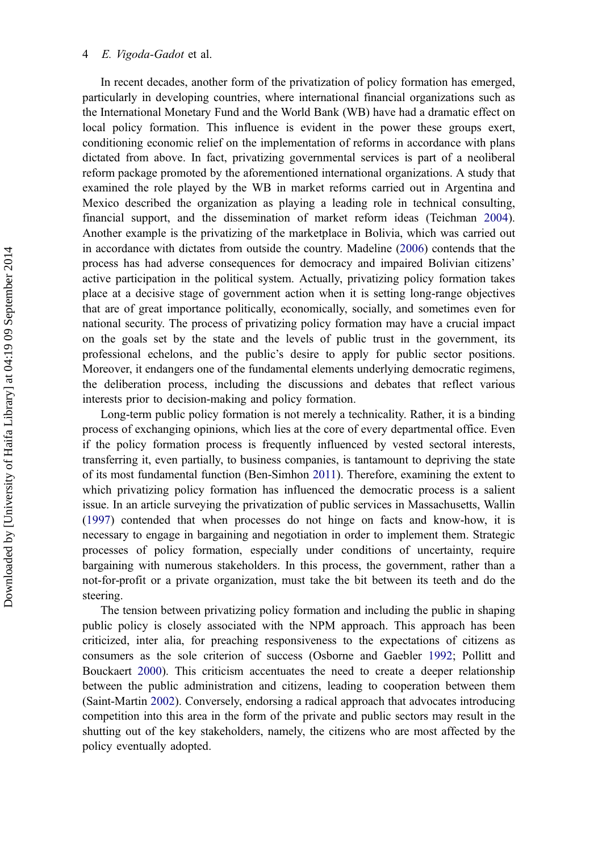#### E. Vigoda-Gadot et al.

In recent decades, another form of the privatization of policy formation has emerged, particularly in developing countries, where international financial organizations such as the International Monetary Fund and the World Bank (WB) have had a dramatic effect on local policy formation. This influence is evident in the power these groups exert, conditioning economic relief on the implementation of reforms in accordance with plans dictated from above. In fact, privatizing governmental services is part of a neoliberal reform package promoted by the aforementioned international organizations. A study that examined the role played by the WB in market reforms carried out in Argentina and Mexico described the organization as playing a leading role in technical consulting, financial support, and the dissemination of market reform ideas (Teichman [2004](#page-15-0)). Another example is the privatizing of the marketplace in Bolivia, which was carried out in accordance with dictates from outside the country. Madeline ([2006\)](#page-14-0) contends that the process has had adverse consequences for democracy and impaired Bolivian citizens' active participation in the political system. Actually, privatizing policy formation takes place at a decisive stage of government action when it is setting long-range objectives that are of great importance politically, economically, socially, and sometimes even for national security. The process of privatizing policy formation may have a crucial impact on the goals set by the state and the levels of public trust in the government, its professional echelons, and the public's desire to apply for public sector positions. Moreover, it endangers one of the fundamental elements underlying democratic regimens, the deliberation process, including the discussions and debates that reflect various interests prior to decision-making and policy formation.

Long-term public policy formation is not merely a technicality. Rather, it is a binding process of exchanging opinions, which lies at the core of every departmental office. Even if the policy formation process is frequently influenced by vested sectoral interests, transferring it, even partially, to business companies, is tantamount to depriving the state of its most fundamental function (Ben-Simhon [2011\)](#page-13-0). Therefore, examining the extent to which privatizing policy formation has influenced the democratic process is a salient issue. In an article surveying the privatization of public services in Massachusetts, Wallin [\(1997](#page-15-0)) contended that when processes do not hinge on facts and know-how, it is necessary to engage in bargaining and negotiation in order to implement them. Strategic processes of policy formation, especially under conditions of uncertainty, require bargaining with numerous stakeholders. In this process, the government, rather than a not-for-profit or a private organization, must take the bit between its teeth and do the steering.

The tension between privatizing policy formation and including the public in shaping public policy is closely associated with the NPM approach. This approach has been criticized, inter alia, for preaching responsiveness to the expectations of citizens as consumers as the sole criterion of success (Osborne and Gaebler [1992](#page-14-0); Pollitt and Bouckaert [2000\)](#page-14-0). This criticism accentuates the need to create a deeper relationship between the public administration and citizens, leading to cooperation between them (Saint-Martin [2002](#page-15-0)). Conversely, endorsing a radical approach that advocates introducing competition into this area in the form of the private and public sectors may result in the shutting out of the key stakeholders, namely, the citizens who are most affected by the policy eventually adopted.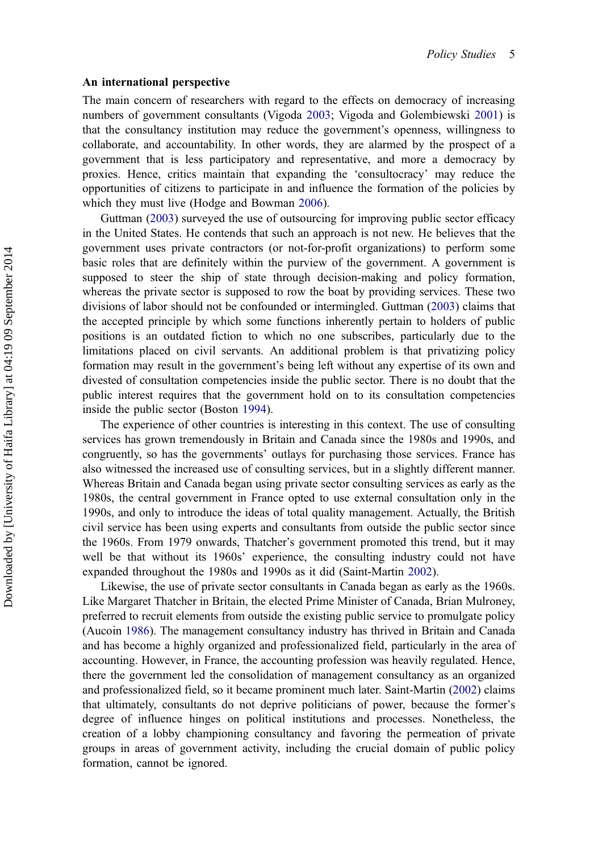#### An international perspective

The main concern of researchers with regard to the effects on democracy of increasing numbers of government consultants (Vigoda [2003](#page-15-0); Vigoda and Golembiewski [2001\)](#page-15-0) is that the consultancy institution may reduce the government's openness, willingness to collaborate, and accountability. In other words, they are alarmed by the prospect of a government that is less participatory and representative, and more a democracy by proxies. Hence, critics maintain that expanding the 'consultocracy' may reduce the opportunities of citizens to participate in and influence the formation of the policies by which they must live (Hodge and Bowman [2006](#page-14-0)).

Guttman ([2003\)](#page-14-0) surveyed the use of outsourcing for improving public sector efficacy in the United States. He contends that such an approach is not new. He believes that the government uses private contractors (or not-for-profit organizations) to perform some basic roles that are definitely within the purview of the government. A government is supposed to steer the ship of state through decision-making and policy formation, whereas the private sector is supposed to row the boat by providing services. These two divisions of labor should not be confounded or intermingled. Guttman ([2003\)](#page-14-0) claims that the accepted principle by which some functions inherently pertain to holders of public positions is an outdated fiction to which no one subscribes, particularly due to the limitations placed on civil servants. An additional problem is that privatizing policy formation may result in the government's being left without any expertise of its own and divested of consultation competencies inside the public sector. There is no doubt that the public interest requires that the government hold on to its consultation competencies inside the public sector (Boston [1994\)](#page-13-0).

The experience of other countries is interesting in this context. The use of consulting services has grown tremendously in Britain and Canada since the 1980s and 1990s, and congruently, so has the governments' outlays for purchasing those services. France has also witnessed the increased use of consulting services, but in a slightly different manner. Whereas Britain and Canada began using private sector consulting services as early as the 1980s, the central government in France opted to use external consultation only in the 1990s, and only to introduce the ideas of total quality management. Actually, the British civil service has been using experts and consultants from outside the public sector since the 1960s. From 1979 onwards, Thatcher's government promoted this trend, but it may well be that without its 1960s' experience, the consulting industry could not have expanded throughout the 1980s and 1990s as it did (Saint-Martin [2002\)](#page-15-0).

Likewise, the use of private sector consultants in Canada began as early as the 1960s. Like Margaret Thatcher in Britain, the elected Prime Minister of Canada, Brian Mulroney, preferred to recruit elements from outside the existing public service to promulgate policy (Aucoin [1986](#page-13-0)). The management consultancy industry has thrived in Britain and Canada and has become a highly organized and professionalized field, particularly in the area of accounting. However, in France, the accounting profession was heavily regulated. Hence, there the government led the consolidation of management consultancy as an organized and professionalized field, so it became prominent much later. Saint-Martin ([2002\)](#page-15-0) claims that ultimately, consultants do not deprive politicians of power, because the former's degree of influence hinges on political institutions and processes. Nonetheless, the creation of a lobby championing consultancy and favoring the permeation of private groups in areas of government activity, including the crucial domain of public policy formation, cannot be ignored.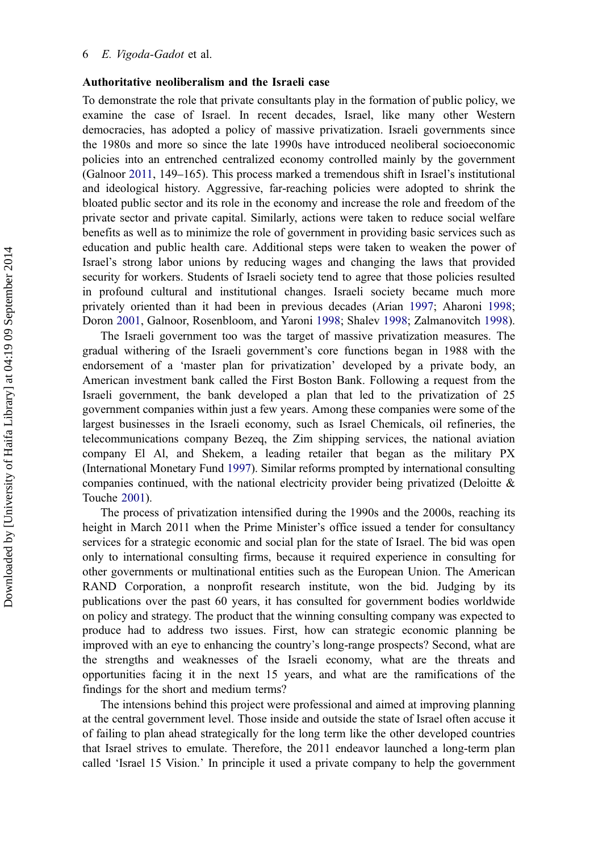#### Authoritative neoliberalism and the Israeli case

To demonstrate the role that private consultants play in the formation of public policy, we examine the case of Israel. In recent decades, Israel, like many other Western democracies, has adopted a policy of massive privatization. Israeli governments since the 1980s and more so since the late 1990s have introduced neoliberal socioeconomic policies into an entrenched centralized economy controlled mainly by the government (Galnoor [2011](#page-14-0), 149–165). This process marked a tremendous shift in Israel's institutional and ideological history. Aggressive, far-reaching policies were adopted to shrink the bloated public sector and its role in the economy and increase the role and freedom of the private sector and private capital. Similarly, actions were taken to reduce social welfare benefits as well as to minimize the role of government in providing basic services such as education and public health care. Additional steps were taken to weaken the power of Israel's strong labor unions by reducing wages and changing the laws that provided security for workers. Students of Israeli society tend to agree that those policies resulted in profound cultural and institutional changes. Israeli society became much more privately oriented than it had been in previous decades (Arian [1997;](#page-13-0) Aharoni [1998](#page-13-0); Doron [2001](#page-13-0), Galnoor, Rosenbloom, and Yaroni [1998](#page-14-0); Shalev [1998](#page-15-0); Zalmanovitch [1998](#page-15-0)).

The Israeli government too was the target of massive privatization measures. The gradual withering of the Israeli government's core functions began in 1988 with the endorsement of a 'master plan for privatization' developed by a private body, an American investment bank called the First Boston Bank. Following a request from the Israeli government, the bank developed a plan that led to the privatization of 25 government companies within just a few years. Among these companies were some of the largest businesses in the Israeli economy, such as Israel Chemicals, oil refineries, the telecommunications company Bezeq, the Zim shipping services, the national aviation company El Al, and Shekem, a leading retailer that began as the military PX (International Monetary Fund [1997](#page-14-0)). Similar reforms prompted by international consulting companies continued, with the national electricity provider being privatized (Deloitte  $\&$ Touche [2001](#page-13-0)).

The process of privatization intensified during the 1990s and the 2000s, reaching its height in March 2011 when the Prime Minister's office issued a tender for consultancy services for a strategic economic and social plan for the state of Israel. The bid was open only to international consulting firms, because it required experience in consulting for other governments or multinational entities such as the European Union. The American RAND Corporation, a nonprofit research institute, won the bid. Judging by its publications over the past 60 years, it has consulted for government bodies worldwide on policy and strategy. The product that the winning consulting company was expected to produce had to address two issues. First, how can strategic economic planning be improved with an eye to enhancing the country's long-range prospects? Second, what are the strengths and weaknesses of the Israeli economy, what are the threats and opportunities facing it in the next 15 years, and what are the ramifications of the findings for the short and medium terms?

The intensions behind this project were professional and aimed at improving planning at the central government level. Those inside and outside the state of Israel often accuse it of failing to plan ahead strategically for the long term like the other developed countries that Israel strives to emulate. Therefore, the 2011 endeavor launched a long-term plan called 'Israel 15 Vision.' In principle it used a private company to help the government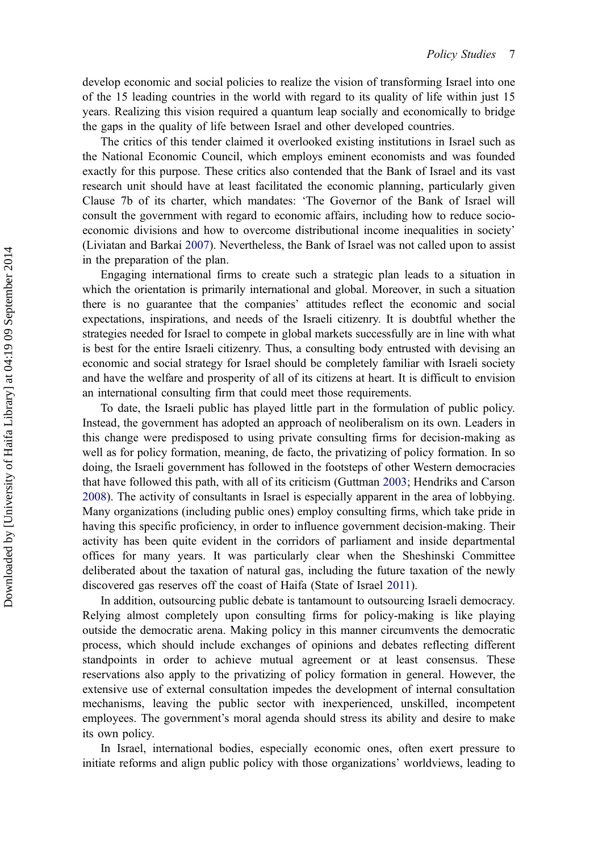develop economic and social policies to realize the vision of transforming Israel into one of the 15 leading countries in the world with regard to its quality of life within just 15 years. Realizing this vision required a quantum leap socially and economically to bridge the gaps in the quality of life between Israel and other developed countries.

The critics of this tender claimed it overlooked existing institutions in Israel such as the National Economic Council, which employs eminent economists and was founded exactly for this purpose. These critics also contended that the Bank of Israel and its vast research unit should have at least facilitated the economic planning, particularly given Clause 7b of its charter, which mandates: 'The Governor of the Bank of Israel will consult the government with regard to economic affairs, including how to reduce socioeconomic divisions and how to overcome distributional income inequalities in society' (Liviatan and Barkai [2007\)](#page-14-0). Nevertheless, the Bank of Israel was not called upon to assist in the preparation of the plan.

Engaging international firms to create such a strategic plan leads to a situation in which the orientation is primarily international and global. Moreover, in such a situation there is no guarantee that the companies' attitudes reflect the economic and social expectations, inspirations, and needs of the Israeli citizenry. It is doubtful whether the strategies needed for Israel to compete in global markets successfully are in line with what is best for the entire Israeli citizenry. Thus, a consulting body entrusted with devising an economic and social strategy for Israel should be completely familiar with Israeli society and have the welfare and prosperity of all of its citizens at heart. It is difficult to envision an international consulting firm that could meet those requirements.

To date, the Israeli public has played little part in the formulation of public policy. Instead, the government has adopted an approach of neoliberalism on its own. Leaders in this change were predisposed to using private consulting firms for decision-making as well as for policy formation, meaning, de facto, the privatizing of policy formation. In so doing, the Israeli government has followed in the footsteps of other Western democracies that have followed this path, with all of its criticism (Guttman [2003;](#page-14-0) Hendriks and Carson [2008\)](#page-14-0). The activity of consultants in Israel is especially apparent in the area of lobbying. Many organizations (including public ones) employ consulting firms, which take pride in having this specific proficiency, in order to influence government decision-making. Their activity has been quite evident in the corridors of parliament and inside departmental offices for many years. It was particularly clear when the Sheshinski Committee deliberated about the taxation of natural gas, including the future taxation of the newly discovered gas reserves off the coast of Haifa (State of Israel [2011](#page-15-0)).

In addition, outsourcing public debate is tantamount to outsourcing Israeli democracy. Relying almost completely upon consulting firms for policy-making is like playing outside the democratic arena. Making policy in this manner circumvents the democratic process, which should include exchanges of opinions and debates reflecting different standpoints in order to achieve mutual agreement or at least consensus. These reservations also apply to the privatizing of policy formation in general. However, the extensive use of external consultation impedes the development of internal consultation mechanisms, leaving the public sector with inexperienced, unskilled, incompetent employees. The government's moral agenda should stress its ability and desire to make its own policy.

In Israel, international bodies, especially economic ones, often exert pressure to initiate reforms and align public policy with those organizations' worldviews, leading to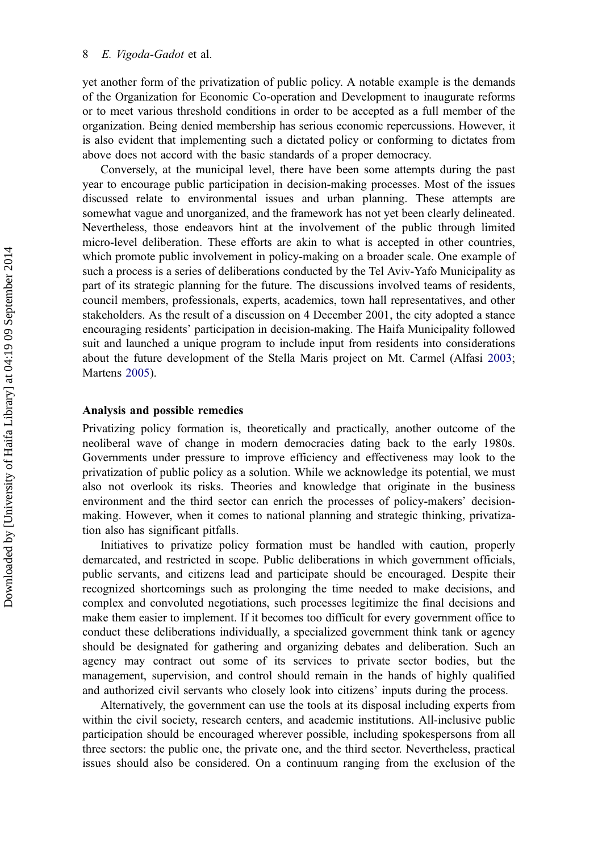yet another form of the privatization of public policy. A notable example is the demands of the Organization for Economic Co-operation and Development to inaugurate reforms or to meet various threshold conditions in order to be accepted as a full member of the organization. Being denied membership has serious economic repercussions. However, it is also evident that implementing such a dictated policy or conforming to dictates from above does not accord with the basic standards of a proper democracy.

Conversely, at the municipal level, there have been some attempts during the past year to encourage public participation in decision-making processes. Most of the issues discussed relate to environmental issues and urban planning. These attempts are somewhat vague and unorganized, and the framework has not yet been clearly delineated. Nevertheless, those endeavors hint at the involvement of the public through limited micro-level deliberation. These efforts are akin to what is accepted in other countries, which promote public involvement in policy-making on a broader scale. One example of such a process is a series of deliberations conducted by the Tel Aviv-Yafo Municipality as part of its strategic planning for the future. The discussions involved teams of residents, council members, professionals, experts, academics, town hall representatives, and other stakeholders. As the result of a discussion on 4 December 2001, the city adopted a stance encouraging residents' participation in decision-making. The Haifa Municipality followed suit and launched a unique program to include input from residents into considerations about the future development of the Stella Maris project on Mt. Carmel (Alfasi [2003](#page-13-0); Martens [2005\)](#page-14-0).

#### Analysis and possible remedies

Privatizing policy formation is, theoretically and practically, another outcome of the neoliberal wave of change in modern democracies dating back to the early 1980s. Governments under pressure to improve efficiency and effectiveness may look to the privatization of public policy as a solution. While we acknowledge its potential, we must also not overlook its risks. Theories and knowledge that originate in the business environment and the third sector can enrich the processes of policy-makers' decisionmaking. However, when it comes to national planning and strategic thinking, privatization also has significant pitfalls.

Initiatives to privatize policy formation must be handled with caution, properly demarcated, and restricted in scope. Public deliberations in which government officials, public servants, and citizens lead and participate should be encouraged. Despite their recognized shortcomings such as prolonging the time needed to make decisions, and complex and convoluted negotiations, such processes legitimize the final decisions and make them easier to implement. If it becomes too difficult for every government office to conduct these deliberations individually, a specialized government think tank or agency should be designated for gathering and organizing debates and deliberation. Such an agency may contract out some of its services to private sector bodies, but the management, supervision, and control should remain in the hands of highly qualified and authorized civil servants who closely look into citizens' inputs during the process.

Alternatively, the government can use the tools at its disposal including experts from within the civil society, research centers, and academic institutions. All-inclusive public participation should be encouraged wherever possible, including spokespersons from all three sectors: the public one, the private one, and the third sector. Nevertheless, practical issues should also be considered. On a continuum ranging from the exclusion of the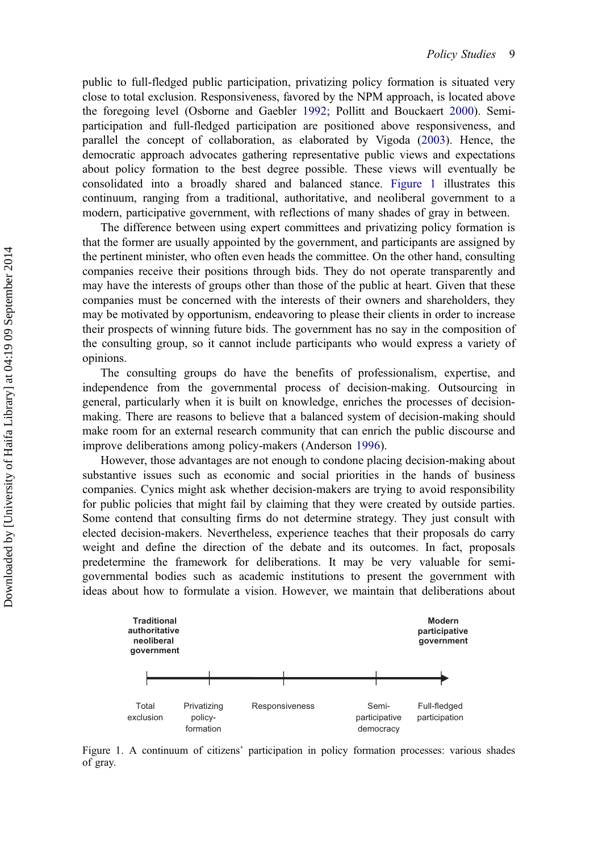public to full-fledged public participation, privatizing policy formation is situated very close to total exclusion. Responsiveness, favored by the NPM approach, is located above the foregoing level (Osborne and Gaebler [1992;](#page-14-0) Pollitt and Bouckaert [2000](#page-14-0)). Semiparticipation and full-fledged participation are positioned above responsiveness, and parallel the concept of collaboration, as elaborated by Vigoda ([2003\)](#page-15-0). Hence, the democratic approach advocates gathering representative public views and expectations about policy formation to the best degree possible. These views will eventually be consolidated into a broadly shared and balanced stance. Figure 1 illustrates this continuum, ranging from a traditional, authoritative, and neoliberal government to a modern, participative government, with reflections of many shades of gray in between.

The difference between using expert committees and privatizing policy formation is that the former are usually appointed by the government, and participants are assigned by the pertinent minister, who often even heads the committee. On the other hand, consulting companies receive their positions through bids. They do not operate transparently and may have the interests of groups other than those of the public at heart. Given that these companies must be concerned with the interests of their owners and shareholders, they may be motivated by opportunism, endeavoring to please their clients in order to increase their prospects of winning future bids. The government has no say in the composition of the consulting group, so it cannot include participants who would express a variety of opinions.

The consulting groups do have the benefits of professionalism, expertise, and independence from the governmental process of decision-making. Outsourcing in general, particularly when it is built on knowledge, enriches the processes of decisionmaking. There are reasons to believe that a balanced system of decision-making should make room for an external research community that can enrich the public discourse and improve deliberations among policy-makers (Anderson [1996\)](#page-13-0).

However, those advantages are not enough to condone placing decision-making about substantive issues such as economic and social priorities in the hands of business companies. Cynics might ask whether decision-makers are trying to avoid responsibility for public policies that might fail by claiming that they were created by outside parties. Some contend that consulting firms do not determine strategy. They just consult with elected decision-makers. Nevertheless, experience teaches that their proposals do carry weight and define the direction of the debate and its outcomes. In fact, proposals predetermine the framework for deliberations. It may be very valuable for semigovernmental bodies such as academic institutions to present the government with ideas about how to formulate a vision. However, we maintain that deliberations about



Figure 1. A continuum of citizens' participation in policy formation processes: various shades of gray.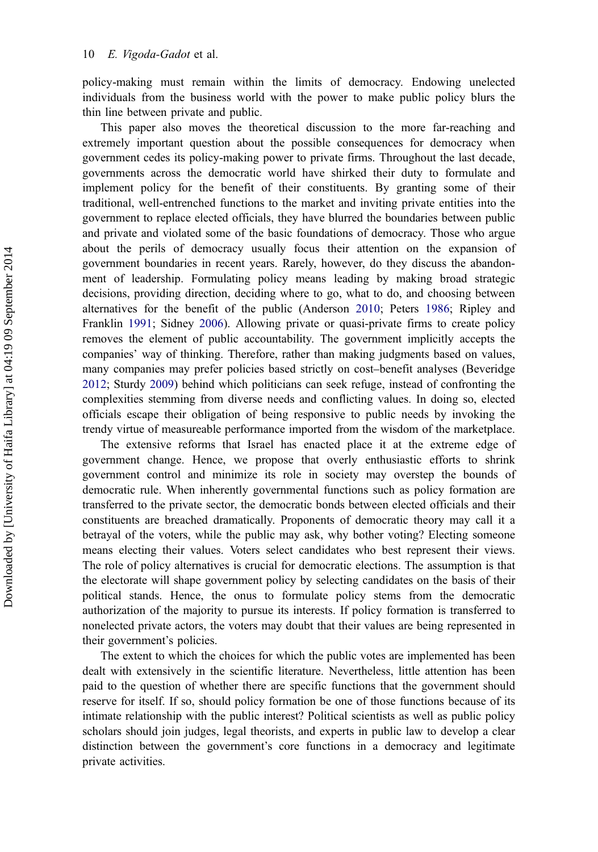policy-making must remain within the limits of democracy. Endowing unelected individuals from the business world with the power to make public policy blurs the thin line between private and public.

This paper also moves the theoretical discussion to the more far-reaching and extremely important question about the possible consequences for democracy when government cedes its policy-making power to private firms. Throughout the last decade, governments across the democratic world have shirked their duty to formulate and implement policy for the benefit of their constituents. By granting some of their traditional, well-entrenched functions to the market and inviting private entities into the government to replace elected officials, they have blurred the boundaries between public and private and violated some of the basic foundations of democracy. Those who argue about the perils of democracy usually focus their attention on the expansion of government boundaries in recent years. Rarely, however, do they discuss the abandonment of leadership. Formulating policy means leading by making broad strategic decisions, providing direction, deciding where to go, what to do, and choosing between alternatives for the benefit of the public (Anderson [2010;](#page-13-0) Peters [1986](#page-14-0); Ripley and Franklin [1991;](#page-15-0) Sidney [2006](#page-15-0)). Allowing private or quasi-private firms to create policy removes the element of public accountability. The government implicitly accepts the companies' way of thinking. Therefore, rather than making judgments based on values, many companies may prefer policies based strictly on cost–benefit analyses (Beveridge [2012;](#page-13-0) Sturdy [2009\)](#page-15-0) behind which politicians can seek refuge, instead of confronting the complexities stemming from diverse needs and conflicting values. In doing so, elected officials escape their obligation of being responsive to public needs by invoking the trendy virtue of measureable performance imported from the wisdom of the marketplace.

The extensive reforms that Israel has enacted place it at the extreme edge of government change. Hence, we propose that overly enthusiastic efforts to shrink government control and minimize its role in society may overstep the bounds of democratic rule. When inherently governmental functions such as policy formation are transferred to the private sector, the democratic bonds between elected officials and their constituents are breached dramatically. Proponents of democratic theory may call it a betrayal of the voters, while the public may ask, why bother voting? Electing someone means electing their values. Voters select candidates who best represent their views. The role of policy alternatives is crucial for democratic elections. The assumption is that the electorate will shape government policy by selecting candidates on the basis of their political stands. Hence, the onus to formulate policy stems from the democratic authorization of the majority to pursue its interests. If policy formation is transferred to nonelected private actors, the voters may doubt that their values are being represented in their government's policies.

The extent to which the choices for which the public votes are implemented has been dealt with extensively in the scientific literature. Nevertheless, little attention has been paid to the question of whether there are specific functions that the government should reserve for itself. If so, should policy formation be one of those functions because of its intimate relationship with the public interest? Political scientists as well as public policy scholars should join judges, legal theorists, and experts in public law to develop a clear distinction between the government's core functions in a democracy and legitimate private activities.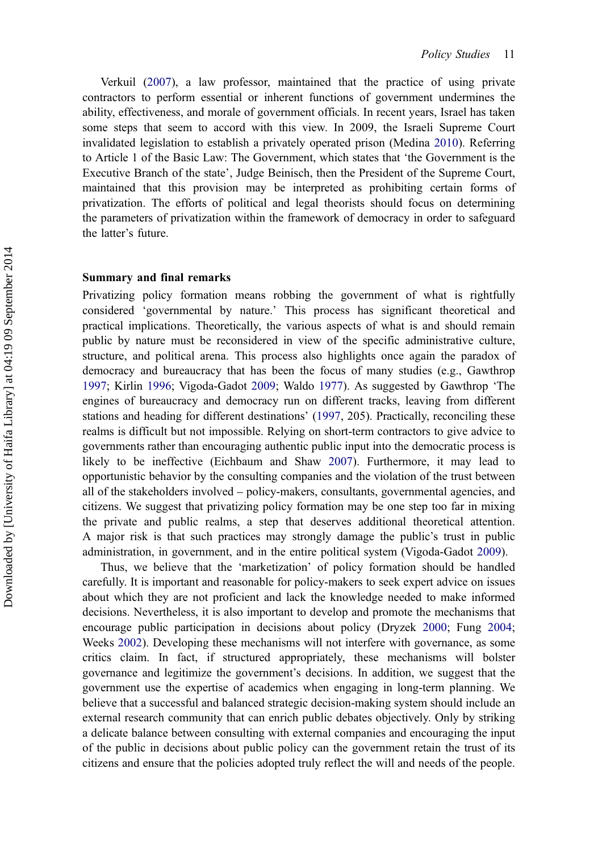Verkuil [\(2007](#page-15-0)), a law professor, maintained that the practice of using private contractors to perform essential or inherent functions of government undermines the ability, effectiveness, and morale of government officials. In recent years, Israel has taken some steps that seem to accord with this view. In 2009, the Israeli Supreme Court invalidated legislation to establish a privately operated prison (Medina [2010](#page-14-0)). Referring to Article 1 of the Basic Law: The Government, which states that 'the Government is the Executive Branch of the state', Judge Beinisch, then the President of the Supreme Court, maintained that this provision may be interpreted as prohibiting certain forms of privatization. The efforts of political and legal theorists should focus on determining the parameters of privatization within the framework of democracy in order to safeguard the latter's future.

#### Summary and final remarks

Privatizing policy formation means robbing the government of what is rightfully considered 'governmental by nature.' This process has significant theoretical and practical implications. Theoretically, the various aspects of what is and should remain public by nature must be reconsidered in view of the specific administrative culture, structure, and political arena. This process also highlights once again the paradox of democracy and bureaucracy that has been the focus of many studies (e.g., Gawthrop [1997;](#page-14-0) Kirlin [1996](#page-14-0); Vigoda-Gadot [2009](#page-15-0); Waldo [1977](#page-15-0)). As suggested by Gawthrop 'The engines of bureaucracy and democracy run on different tracks, leaving from different stations and heading for different destinations' [\(1997](#page-14-0), 205). Practically, reconciling these realms is difficult but not impossible. Relying on short-term contractors to give advice to governments rather than encouraging authentic public input into the democratic process is likely to be ineffective (Eichbaum and Shaw [2007](#page-13-0)). Furthermore, it may lead to opportunistic behavior by the consulting companies and the violation of the trust between all of the stakeholders involved – policy-makers, consultants, governmental agencies, and citizens. We suggest that privatizing policy formation may be one step too far in mixing the private and public realms, a step that deserves additional theoretical attention. A major risk is that such practices may strongly damage the public's trust in public administration, in government, and in the entire political system (Vigoda-Gadot [2009\)](#page-15-0).

Thus, we believe that the 'marketization' of policy formation should be handled carefully. It is important and reasonable for policy-makers to seek expert advice on issues about which they are not proficient and lack the knowledge needed to make informed decisions. Nevertheless, it is also important to develop and promote the mechanisms that encourage public participation in decisions about policy (Dryzek [2000;](#page-13-0) Fung [2004](#page-13-0); Weeks [2002](#page-15-0)). Developing these mechanisms will not interfere with governance, as some critics claim. In fact, if structured appropriately, these mechanisms will bolster governance and legitimize the government's decisions. In addition, we suggest that the government use the expertise of academics when engaging in long-term planning. We believe that a successful and balanced strategic decision-making system should include an external research community that can enrich public debates objectively. Only by striking a delicate balance between consulting with external companies and encouraging the input of the public in decisions about public policy can the government retain the trust of its citizens and ensure that the policies adopted truly reflect the will and needs of the people.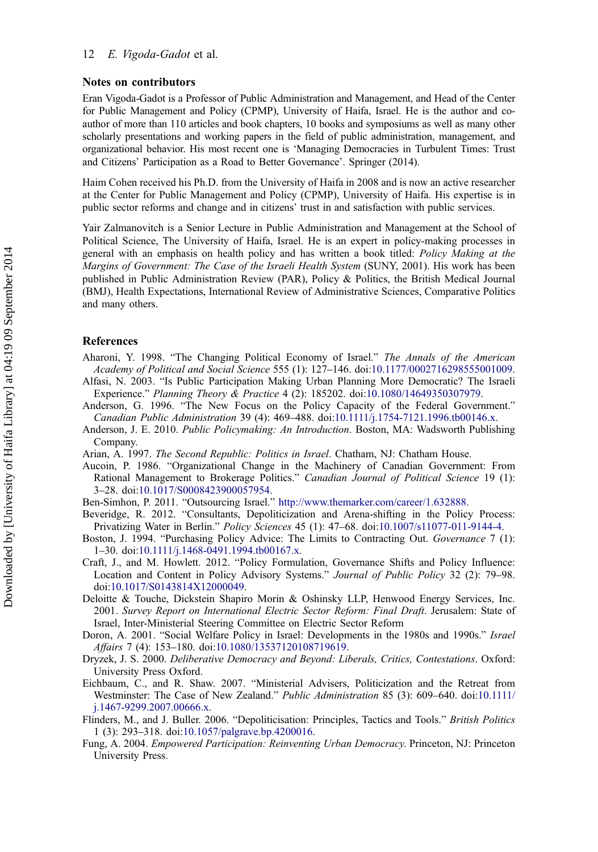#### <span id="page-13-0"></span>Notes on contributors

Eran Vigoda-Gadot is a Professor of Public Administration and Management, and Head of the Center for Public Management and Policy (CPMP), University of Haifa, Israel. He is the author and coauthor of more than 110 articles and book chapters, 10 books and symposiums as well as many other scholarly presentations and working papers in the field of public administration, management, and organizational behavior. His most recent one is 'Managing Democracies in Turbulent Times: Trust and Citizens' Participation as a Road to Better Governance'. Springer (2014).

Haim Cohen received his Ph.D. from the University of Haifa in 2008 and is now an active researcher at the Center for Public Management and Policy (CPMP), University of Haifa. His expertise is in public sector reforms and change and in citizens' trust in and satisfaction with public services.

Yair Zalmanovitch is a Senior Lecture in Public Administration and Management at the School of Political Science, The University of Haifa, Israel. He is an expert in policy-making processes in general with an emphasis on health policy and has written a book titled: Policy Making at the Margins of Government: The Case of the Israeli Health System (SUNY, 2001). His work has been published in Public Administration Review (PAR), Policy & Politics, the British Medical Journal (BMJ), Health Expectations, International Review of Administrative Sciences, Comparative Politics and many others.

#### References

- Aharoni, Y. 1998. "The Changing Political Economy of Israel." The Annals of the American Academy of Political and Social Science 555 (1): 127–146. doi[:10.1177/0002716298555001009.](http://dx.doi.org/10.1177/0002716298555001009)
- Alfasi, N. 2003. "Is Public Participation Making Urban Planning More Democratic? The Israeli Experience." Planning Theory & Practice 4 (2): 185202. doi[:10.1080/14649350307979.](http://dx.doi.org/10.1080/14649350307979)
- Anderson, G. 1996. "The New Focus on the Policy Capacity of the Federal Government." Canadian Public Administration 39 (4): 469–488. doi[:10.1111/j.1754-7121.1996.tb00146.x.](http://dx.doi.org/10.1111/j.1754-7121.1996.tb00146.x)
- Anderson, J. E. 2010. Public Policymaking: An Introduction. Boston, MA: Wadsworth Publishing Company.
- Arian, A. 1997. The Second Republic: Politics in Israel. Chatham, NJ: Chatham House.
- Aucoin, P. 1986. "Organizational Change in the Machinery of Canadian Government: From Rational Management to Brokerage Politics." Canadian Journal of Political Science 19 (1): 3–28. doi[:10.1017/S0008423900057954.](http://dx.doi.org/10.1017/S0008423900057954)
- Ben-Simhon, P. 2011. "Outsourcing Israel." [http://www.themarker.com/career/1.632888.](http://www.themarker.com/career/1.632888)
- Beveridge, R. 2012. "Consultants, Depoliticization and Arena-shifting in the Policy Process: Privatizing Water in Berlin." Policy Sciences 45 (1): 47–68. doi:[10.1007/s11077-011-9144-4.](http://dx.doi.org/10.1007/s11077-011-9144-4)
- Boston, J. 1994. "Purchasing Policy Advice: The Limits to Contracting Out. Governance 7 (1): 1–30. doi[:10.1111/j.1468-0491.1994.tb00167.x.](http://dx.doi.org/10.1111/j.1468-0491.1994.tb00167.x)
- Craft, J., and M. Howlett. 2012. "Policy Formulation, Governance Shifts and Policy Influence: Location and Content in Policy Advisory Systems." Journal of Public Policy 32 (2): 79–98. doi[:10.1017/S0143814X12000049.](http://dx.doi.org/10.1017/S0143814X12000049)
- Deloitte & Touche, Dickstein Shapiro Morin & Oshinsky LLP, Henwood Energy Services, Inc. 2001. Survey Report on International Electric Sector Reform: Final Draft. Jerusalem: State of Israel, Inter-Ministerial Steering Committee on Electric Sector Reform
- Doron, A. 2001. "Social Welfare Policy in Israel: Developments in the 1980s and 1990s." Israel Affairs 7 (4): 153–180. doi[:10.1080/13537120108719619.](http://dx.doi.org/10.1080/13537120108719619)
- Dryzek, J. S. 2000. Deliberative Democracy and Beyond: Liberals, Critics, Contestations. Oxford: University Press Oxford.
- Eichbaum, C., and R. Shaw. 2007. "Ministerial Advisers, Politicization and the Retreat from Westminster: The Case of New Zealand." Public Administration 85 (3): 609–640. doi[:10.1111/](http://dx.doi.org/10.1111/j.1467-9299.2007.00666.x) [j.1467-9299.2007.00666.x.](http://dx.doi.org/10.1111/j.1467-9299.2007.00666.x)
- Flinders, M., and J. Buller. 2006. "Depoliticisation: Principles, Tactics and Tools." British Politics 1 (3): 293–318. doi[:10.1057/palgrave.bp.4200016.](http://dx.doi.org/10.1057/palgrave.bp.4200016)
- Fung, A. 2004. Empowered Participation: Reinventing Urban Democracy. Princeton, NJ: Princeton University Press.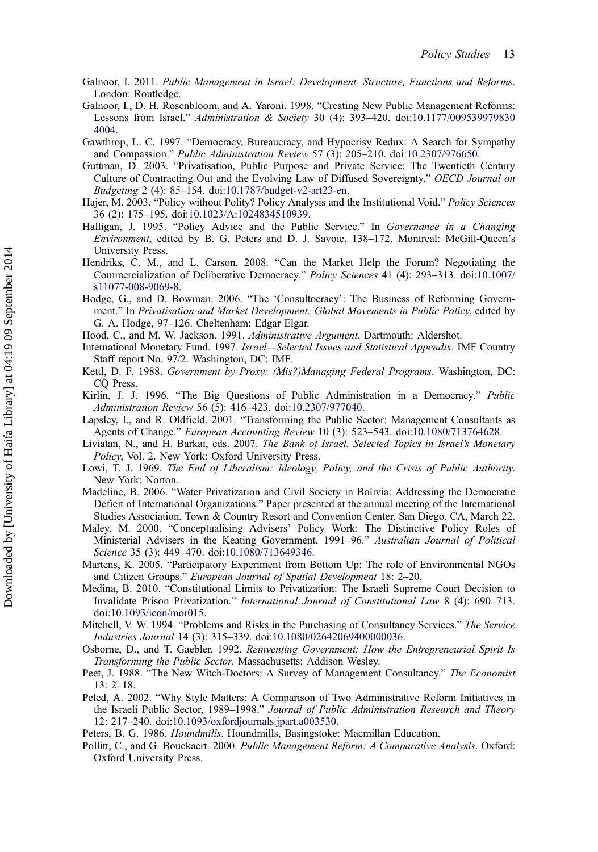- <span id="page-14-0"></span>Galnoor, I. 2011. Public Management in Israel: Development, Structure, Functions and Reforms. London: Routledge.
- Galnoor, I., D. H. Rosenbloom, and A. Yaroni. 1998. "Creating New Public Management Reforms: Lessons from Israel." Administration & Society 30 (4): 393–420. doi[:10.1177/009539979830](http://dx.doi.org/10.1177/0095399798304004) [4004.](http://dx.doi.org/10.1177/0095399798304004)
- Gawthrop, L. C. 1997. "Democracy, Bureaucracy, and Hypocrisy Redux: A Search for Sympathy and Compassion." Public Administration Review 57 (3): 205–210. doi:[10.2307/976650.](http://dx.doi.org/10.2307/976650)
- Guttman, D. 2003. "Privatisation, Public Purpose and Private Service: The Twentieth Century Culture of Contracting Out and the Evolving Law of Diffused Sovereignty." OECD Journal on Budgeting 2 (4): 85–154. doi[:10.1787/budget-v2-art23-en.](http://dx.doi.org/10.1787/budget-v2-art23-en)
- Hajer, M. 2003. "Policy without Polity? Policy Analysis and the Institutional Void." Policy Sciences 36 (2): 175–195. doi:[10.1023/A:1024834510939.](http://dx.doi.org/10.1023/A:1024834510939)
- Halligan, J. 1995. "Policy Advice and the Public Service." In Governance in a Changing Environment, edited by B. G. Peters and D. J. Savoie, 138–172. Montreal: McGill-Queen's University Press.
- Hendriks, C. M., and L. Carson. 2008. "Can the Market Help the Forum? Negotiating the Commercialization of Deliberative Democracy." Policy Sciences 41 (4): 293–313. doi:[10.1007/](http://dx.doi.org/10.1007/s11077-008-9069-8) [s11077-008-9069-8.](http://dx.doi.org/10.1007/s11077-008-9069-8)
- Hodge, G., and D. Bowman. 2006. "The 'Consultocracy': The Business of Reforming Government." In Privatisation and Market Development: Global Movements in Public Policy, edited by G. A. Hodge, 97–126. Cheltenham: Edgar Elgar.
- Hood, C., and M. W. Jackson. 1991. Administrative Argument. Dartmouth: Aldershot.
- International Monetary Fund. 1997. Israel—Selected Issues and Statistical Appendix. IMF Country Staff report No. 97/2. Washington, DC: IMF.
- Kettl, D. F. 1988. Government by Proxy: (Mis?)Managing Federal Programs. Washington, DC: CQ Press.
- Kirlin, J. J. 1996. "The Big Questions of Public Administration in a Democracy." Public Administration Review 56 (5): 416–423. doi[:10.2307/977040.](http://dx.doi.org/10.2307/977040)
- Lapsley, I., and R. Oldfield. 2001. "Transforming the Public Sector: Management Consultants as Agents of Change." European Accounting Review 10 (3): 523–543. doi[:10.1080/713764628.](http://dx.doi.org/10.1080/713764628)
- Liviatan, N., and H. Barkai, eds. 2007. The Bank of Israel. Selected Topics in Israel's Monetary Policy, Vol. 2. New York: Oxford University Press.
- Lowi, T. J. 1969. The End of Liberalism: Ideology, Policy, and the Crisis of Public Authority. New York: Norton.
- Madeline, B. 2006. "Water Privatization and Civil Society in Bolivia: Addressing the Democratic Deficit of International Organizations." Paper presented at the annual meeting of the International Studies Association, Town & Country Resort and Convention Center, San Diego, CA, March 22.
- Maley, M. 2000. "Conceptualising Advisers' Policy Work: The Distinctive Policy Roles of Ministerial Advisers in the Keating Government, 1991–96." Australian Journal of Political Science 35 (3): 449–470. doi:[10.1080/713649346.](http://dx.doi.org/10.1080/713649346)
- Martens, K. 2005. "Participatory Experiment from Bottom Up: The role of Environmental NGOs and Citizen Groups." European Journal of Spatial Development 18: 2–20.
- Medina, B. 2010. "Constitutional Limits to Privatization: The Israeli Supreme Court Decision to Invalidate Prison Privatization." International Journal of Constitutional Law 8 (4): 690–713. doi[:10.1093/icon/mor015.](http://dx.doi.org/10.1093/icon/mor015)
- Mitchell, V. W. 1994. "Problems and Risks in the Purchasing of Consultancy Services." The Service Industries Journal 14 (3): 315–339. doi:[10.1080/02642069400000036.](http://dx.doi.org/10.1080/02642069400000036)
- Osborne, D., and T. Gaebler. 1992. Reinventing Government: How the Entrepreneurial Spirit Is Transforming the Public Sector. Massachusetts: Addison Wesley.
- Peet, J. 1988. "The New Witch-Doctors: A Survey of Management Consultancy." The Economist 13: 2–18.
- Peled, A. 2002. "Why Style Matters: A Comparison of Two Administrative Reform Initiatives in the Israeli Public Sector, 1989-1998." Journal of Public Administration Research and Theory 12: 217–240. doi[:10.1093/oxfordjournals.jpart.a003530.](http://dx.doi.org/10.1093/oxfordjournals.jpart.a003530)
- Peters, B. G. 1986. Houndmills. Houndmills, Basingstoke: Macmillan Education.
- Pollitt, C., and G. Bouckaert. 2000. Public Management Reform: A Comparative Analysis. Oxford: Oxford University Press.